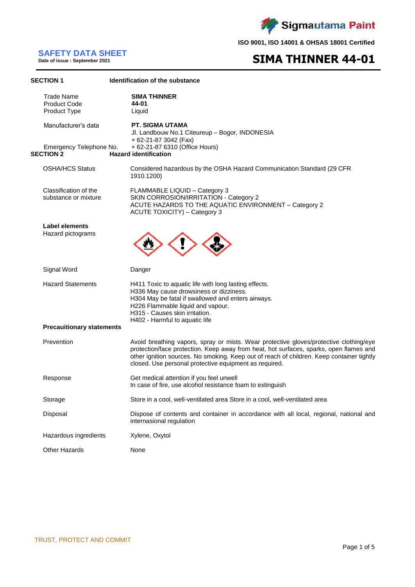

# **SAFETY DATA SHEET**

**Date of issue : September 2021**

# **SIMA THINNER 44-01**

| <b>SECTION 1</b>                                         | Identification of the substance                                                                                                                                                                                                                                                                                                         |
|----------------------------------------------------------|-----------------------------------------------------------------------------------------------------------------------------------------------------------------------------------------------------------------------------------------------------------------------------------------------------------------------------------------|
| <b>Trade Name</b><br><b>Product Code</b><br>Product Type | <b>SIMA THINNER</b><br>44-01<br>Liquid                                                                                                                                                                                                                                                                                                  |
| Manufacturer's data                                      | <b>PT. SIGMA UTAMA</b><br>Jl. Landbouw No.1 Citeureup - Bogor, INDONESIA<br>+ 62-21-87 3042 (Fax)                                                                                                                                                                                                                                       |
| Emergency Telephone No.<br><b>SECTION 2</b>              | + 62-21-87 6310 (Office Hours)<br><b>Hazard identification</b>                                                                                                                                                                                                                                                                          |
| <b>OSHA/HCS Status</b>                                   | Considered hazardous by the OSHA Hazard Communication Standard (29 CFR<br>1910.1200)                                                                                                                                                                                                                                                    |
| Classification of the<br>substance or mixture            | FLAMMABLE LIQUID - Category 3<br>SKIN CORROSION/IRRITATION - Category 2<br>ACUTE HAZARDS TO THE AQUATIC ENVIRONMENT - Category 2<br>ACUTE TOXICITY) - Category 3                                                                                                                                                                        |
| Label elements<br>Hazard pictograms                      |                                                                                                                                                                                                                                                                                                                                         |
| Signal Word                                              | Danger                                                                                                                                                                                                                                                                                                                                  |
| <b>Hazard Statements</b>                                 | H411 Toxic to aquatic life with long lasting effects.<br>H336 May cause drowsiness or dizziness.<br>H304 May be fatal if swallowed and enters airways.<br>H226 Flammable liquid and vapour.<br>H315 - Causes skin irritation.<br>H402 - Harmful to aquatic life                                                                         |
| <b>Precaultionary statements</b>                         |                                                                                                                                                                                                                                                                                                                                         |
| Prevention                                               | Avoid breathing vapors, spray or mists. Wear protective gloves/protective clothing/eye<br>protection/face protection. Keep away from heat, hot surfaces, sparks, open flames and<br>other ignition sources. No smoking. Keep out of reach of children. Keep container tightly<br>closed. Use personal protective equipment as required. |
| Response                                                 | Get medical attention if you feel unwell<br>In case of fire, use alcohol resistance foam to extinguish                                                                                                                                                                                                                                  |
| Storage                                                  | Store in a cool, well-ventilated area Store in a cool, well-ventilated area                                                                                                                                                                                                                                                             |
| Disposal                                                 | Dispose of contents and container in accordance with all local, regional, national and<br>internasional regulation                                                                                                                                                                                                                      |
| Hazardous ingredients                                    | Xylene, Oxytol                                                                                                                                                                                                                                                                                                                          |
| Other Hazards                                            | None                                                                                                                                                                                                                                                                                                                                    |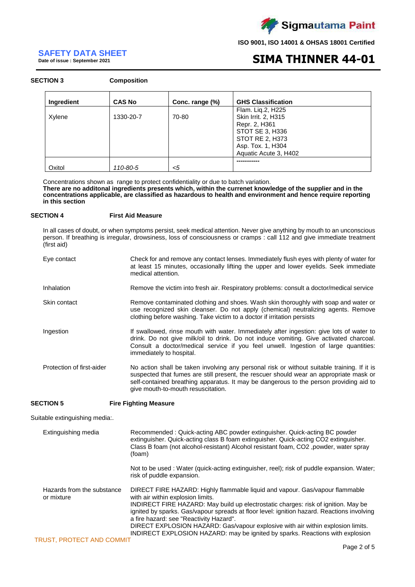

# **SAFETY DATA SHEET**

**Date of issue : September 2021**

# **SIMA THINNER 44-01**

### **SECTION 3 Composition**

| <b>Ingredient</b> | <b>CAS No</b> | Conc. range (%) | <b>GHS Classification</b> |
|-------------------|---------------|-----------------|---------------------------|
|                   |               |                 | Flam. Liq.2, H225         |
| Xylene            | 1330-20-7     | 70-80           | Skin Irrit. 2, H315       |
|                   |               |                 | Repr. 2, H361             |
|                   |               |                 | STOT SE 3, H336           |
|                   |               |                 | STOT RE 2, H373           |
|                   |               |                 | Asp. Tox. 1, H304         |
|                   |               |                 | Aquatic Acute 3, H402     |
|                   |               |                 |                           |
| Oxitol            | 110-80-5      | $<$ 5           |                           |

Concentrations shown as range to protect confidentiality or due to batch variation. **There are no additonal ingredients presents which, within the currenet knowledge of the supplier and in the concentrations applicable, are classified as hazardous to health and environment and hence require reporting in this section**

## **SECTION 4 First Aid Measure**

In all cases of doubt, or when symptoms persist, seek medical attention. Never give anything by mouth to an unconscious person. If breathing is irregular, drowsiness, loss of consciousness or cramps : call 112 and give immediate treatment (first aid)

| Eye contact               | Check for and remove any contact lenses. Immediately flush eyes with plenty of water for<br>at least 15 minutes, occasionally lifting the upper and lower eyelids. Seek immediate<br>medical attention.                                                                                                               |
|---------------------------|-----------------------------------------------------------------------------------------------------------------------------------------------------------------------------------------------------------------------------------------------------------------------------------------------------------------------|
| Inhalation                | Remove the victim into fresh air. Respiratory problems: consult a doctor/medical service                                                                                                                                                                                                                              |
| Skin contact              | Remove contaminated clothing and shoes. Wash skin thoroughly with soap and water or<br>use recognized skin cleanser. Do not apply (chemical) neutralizing agents. Remove<br>clothing before washing. Take victim to a doctor if irritation persists                                                                   |
| Ingestion                 | If swallowed, rinse mouth with water. Immediately after ingestion: give lots of water to<br>drink. Do not give milk/oil to drink. Do not induce vomiting. Give activated charcoal.<br>Consult a doctor/medical service if you feel unwell. Ingestion of large quantities:<br>immediately to hospital.                 |
| Protection of first-aider | No action shall be taken involving any personal risk or without suitable training. If it is<br>suspected that fumes are still present, the rescuer should wear an appropriate mask or<br>self-contained breathing apparatus. It may be dangerous to the person providing aid to<br>give mouth-to-mouth resuscitation. |

## **SECTION 5 Fire Fighting Measure**

Suitable extinguishing media:.

| Extinguishing media                      | Recommended: Quick-acting ABC powder extinguisher. Quick-acting BC powder<br>extinguisher. Quick-acting class B foam extinguisher. Quick-acting CO2 extinguisher.<br>Class B foam (not alcohol-resistant) Alcohol resistant foam, CO <sub>2</sub> , powder, water spray<br>(foam)                                                                                                                                                                                                                                    |
|------------------------------------------|----------------------------------------------------------------------------------------------------------------------------------------------------------------------------------------------------------------------------------------------------------------------------------------------------------------------------------------------------------------------------------------------------------------------------------------------------------------------------------------------------------------------|
|                                          | Not to be used : Water (quick-acting extinguisher, reel); risk of puddle expansion. Water;<br>risk of puddle expansion.                                                                                                                                                                                                                                                                                                                                                                                              |
| Hazards from the substance<br>or mixture | DIRECT FIRE HAZARD: Highly flammable liquid and vapour. Gas/vapour flammable<br>with air within explosion limits.<br>INDIRECT FIRE HAZARD: May build up electrostatic charges: risk of ignition. May be<br>ignited by sparks. Gas/vapour spreads at floor level: ignition hazard. Reactions involving<br>a fire hazard: see "Reactivity Hazard".<br>DIRECT EXPLOSION HAZARD: Gas/vapour explosive with air within explosion limits.<br>INDIRECT EXPLOSION HAZARD: may be ignited by sparks. Reactions with explosion |
| <b>TRUST, PROTECT AND COMMIT</b>         |                                                                                                                                                                                                                                                                                                                                                                                                                                                                                                                      |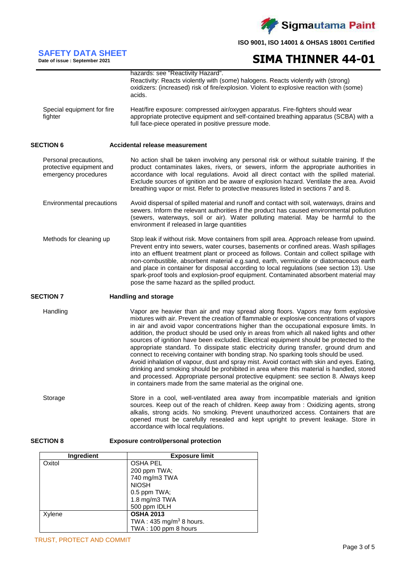

# **SIMA THINNER 44-01**

| Special equipment for fire<br>fighter                                     | hazards: see "Reactivity Hazard".<br>Reactivity: Reacts violently with (some) halogens. Reacts violently with (strong)<br>oxidizers: (increased) risk of fire/explosion. Violent to explosive reaction with (some)<br>acids.<br>Heat/fire exposure: compressed air/oxygen apparatus. Fire-fighters should wear<br>appropriate protective equipment and self-contained breathing apparatus (SCBA) with a<br>full face-piece operated in positive pressure mode.                                                                                                                                                                                                                                                                                                                                                                                                                                                                                                                                         |
|---------------------------------------------------------------------------|--------------------------------------------------------------------------------------------------------------------------------------------------------------------------------------------------------------------------------------------------------------------------------------------------------------------------------------------------------------------------------------------------------------------------------------------------------------------------------------------------------------------------------------------------------------------------------------------------------------------------------------------------------------------------------------------------------------------------------------------------------------------------------------------------------------------------------------------------------------------------------------------------------------------------------------------------------------------------------------------------------|
| <b>SECTION 6</b>                                                          | Accidental release measurement                                                                                                                                                                                                                                                                                                                                                                                                                                                                                                                                                                                                                                                                                                                                                                                                                                                                                                                                                                         |
| Personal precautions,<br>protective equipment and<br>emergency procedures | No action shall be taken involving any personal risk or without suitable training. If the<br>product contaminates lakes, rivers, or sewers, inform the appropriate authorities in<br>accordance with local regulations. Avoid all direct contact with the spilled material.<br>Exclude sources of ignition and be aware of explosion hazard. Ventilate the area. Avoid<br>breathing vapor or mist. Refer to protective measures listed in sections 7 and 8.                                                                                                                                                                                                                                                                                                                                                                                                                                                                                                                                            |
| Environmental precautions                                                 | Avoid dispersal of spilled material and runoff and contact with soil, waterways, drains and<br>sewers. Inform the relevant authorities if the product has caused environmental pollution<br>(sewers, waterways, soil or air). Water polluting material. May be harmful to the<br>environment if released in large quantities                                                                                                                                                                                                                                                                                                                                                                                                                                                                                                                                                                                                                                                                           |
| Methods for cleaning up                                                   | Stop leak if without risk. Move containers from spill area. Approach release from upwind.<br>Prevent entry into sewers, water courses, basements or confined areas. Wash spillages<br>into an effluent treatment plant or proceed as follows. Contain and collect spillage with<br>non-combustible, absorbent material e.g.sand, earth, vermiculite or diatomaceous earth<br>and place in container for disposal according to local regulations (see section 13). Use<br>spark-proof tools and explosion-proof equipment. Contaminated absorbent material may<br>pose the same hazard as the spilled product.                                                                                                                                                                                                                                                                                                                                                                                          |
| <b>SECTION 7</b>                                                          | <b>Handling and storage</b>                                                                                                                                                                                                                                                                                                                                                                                                                                                                                                                                                                                                                                                                                                                                                                                                                                                                                                                                                                            |
| Handling                                                                  | Vapor are heavier than air and may spread along floors. Vapors may form explosive<br>mixtures with air. Prevent the creation of flammable or explosive concentrations of vapors<br>in air and avoid vapor concentrations higher than the occupational exposure limits. In<br>addition, the product should be used only in areas from which all naked lights and other<br>sources of ignition have been excluded. Electrical equipment should be protected to the<br>appropriate standard. To dissipate static electricity during transfer, ground drum and<br>connect to receiving container with bonding strap. No sparking tools should be used.<br>Avoid inhalation of vapour, dust and spray mist. Avoid contact with skin and eyes. Eating,<br>drinking and smoking should be prohibited in area where this material is handled, stored<br>and processed. Appropriate personal protective equipment: see section 8. Always keep<br>in containers made from the same material as the original one. |
| Storage                                                                   | Store in a cool, well-ventilated area away from incompatible materials and ignition<br>sources. Keep out of the reach of children. Keep away from: Oxidizing agents, strong<br>alkalis, strong acids. No smoking. Prevent unauthorized access. Containers that are<br>opened must be carefully resealed and kept upright to prevent leakage. Store in<br>accordance with local requlations.                                                                                                                                                                                                                                                                                                                                                                                                                                                                                                                                                                                                            |
| <b>SECTION 8</b>                                                          | <b>Exposure control/personal protection</b>                                                                                                                                                                                                                                                                                                                                                                                                                                                                                                                                                                                                                                                                                                                                                                                                                                                                                                                                                            |

| <b>Ingredient</b> | <b>Exposure limit</b>              |
|-------------------|------------------------------------|
| Oxitol            | <b>OSHA PEL</b>                    |
|                   | 200 ppm TWA;                       |
|                   | 740 mg/m3 TWA                      |
|                   | <b>NIOSH</b>                       |
|                   | 0.5 ppm TWA;                       |
|                   | 1.8 mg/m3 TWA                      |
|                   | 500 ppm IDLH                       |
| Xylene            | <b>OSHA 2013</b>                   |
|                   | TWA: $435 \text{ mg/m}^3$ 8 hours. |
|                   | TWA: 100 ppm 8 hours               |

**SAFETY DATA SHEET Date of issue : September 2021**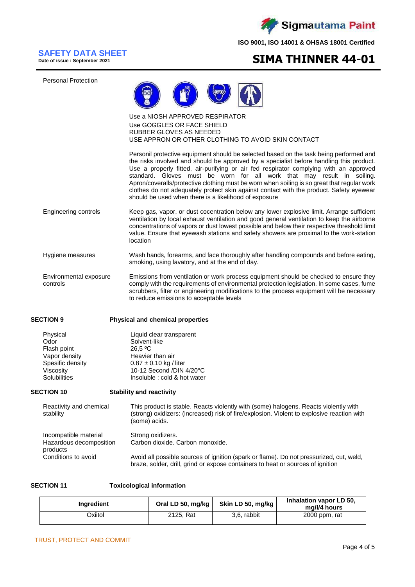

# **SAFETY DATA SHEET**

**Date of issue : September 2021**

# **SIMA THINNER 44-01**

Personal Protection



### Use a NIOSH APPROVED RESPIRATOR Use GOGGLES OR FACE SHIELD RUBBER GLOVES AS NEEDED USE APPRON OR OTHER CLOTHING TO AVOID SKIN CONTACT

Personil protective equipment should be selected based on the task being performed and the risks involved and should be approved by a specialist before handling this product. Use a properly fitted, air-purifying or air fed respirator complying with an approved standard. Gloves must be worn for all work that may result in soiling. Apron/coveralls/protective clothing must be worn when soiling is so great that regular work clothes do not adequately protect skin against contact with the product. Safety eyewear should be used when there is a likelihood of exposure

- Engineering controls Keep gas, vapor, or dust cocentration below any lower explosive limit. Arrange sufficient ventilation by local exhaust ventilation and good general ventilation to keep the airborne concentrations of vapors or dust lowest possible and below their respective threshold limit value. Ensure that eyewash stations and safety showers are proximal to the work-station location
- Hygiene measures Wash hands, forearms, and face thoroughly after handling compounds and before eating, smoking, using lavatory, and at the end of day.
- Environmental exposure controls Emissions from ventilation or work process equipment should be checked to ensure they comply with the requirements of environmental protection legislation. In some cases, fume scrubbers, filter or engineering modifications to the process equipment will be necessary to reduce emissions to acceptable levels

products

## **SECTION 9 Physical and chemical properties**

| Physical         | Liquid clear transparent     |
|------------------|------------------------------|
| Odor             | Solvent-like                 |
| Flash point      | 26.5 °C                      |
| Vapor density    | Heavier than air             |
| Spesific density | $0.87 \pm 0.10$ kg / liter   |
| Viscosity        | 10-12 Second /DIN 4/20°C     |
| Solubilities     | Insoluble : cold & hot water |

## **SECTION 10 Stability and reactivity**

Reactivity and chemical stability Incompatible material This product is stable. Reacts violently with (some) halogens. Reacts violently with (strong) oxidizers: (increased) risk of fire/explosion. Violent to explosive reaction with (some) acids. Strong oxidizers. Hazardous decomposition Carbon dioxide. Carbon monoxide.

| piuuuu              |                                                                                         |
|---------------------|-----------------------------------------------------------------------------------------|
| Conditions to avoid | Avoid all possible sources of ignition (spark or flame). Do not pressurized, cut, weld, |
|                     | braze, solder, drill, grind or expose containers to heat or sources of ignition         |

**SECTION 11 Toxicological information**

| <b>Ingredient</b> | Oral LD 50, mg/kg | Skin LD 50, mg/kg | Inhalation vapor LD 50,<br>mg/l/4 hours |
|-------------------|-------------------|-------------------|-----------------------------------------|
| Oxiitol           | 2125, Rat         | 3.6. rabbit       | 2000 ppm, rat                           |